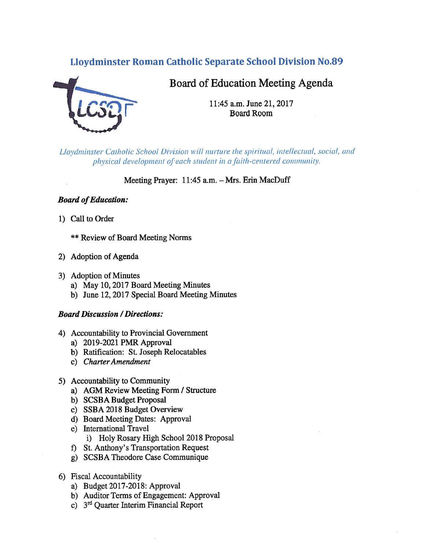## Lloydminster Roman Catholic Separate School Division No.89



# Board of Education Meeting Agenda

11:45 a.m. June 21, 2017 Board Room

Lloydminster Catholic School Division will nurture the spiritual, intellectual, social, and physical development of each student in a faith-centered community.

Meeting Prayer: 11:45 a.m. — Mrs. Erin MacDuff

## **Board of Education:**

1) Call to Order

\*\* Review of Board Meeting Norms

- 2) Adoption of Agenda
- 3) Adoption of Minutes
	- a) May 10, 2017 Board Meeting Minutes
	- b) June 12, 2017 Special Board Meeting Minutes

## Board Discussion /Directions:

- 4) Accountability to Provincial Government
	- a) 2019-2021 PMR Approval
	- b) Ratification: St. Joseph Relocatables
	- c) Charter Amendment
- 5) Accountability to Community
	- a) AGM Review Meeting Form / Structure
	- b) SCSBA Budget Proposal
	- c) SSBA 2018 Budget Overview
	- d) Board Meeting Dates: Approval
	- e) International Travel
		- i) Holy Rosary High School 2018 Proposal
	- f) St. Anthony's Transportation Request
	- g) SCSBA Theodore Case Communique
- 6) Fiscal Accountability
	- a) Budget 2017-2018: Approval
	- b) Auditor Terms of Engagement: Approval
	- c) 3td Quarter Interim Financial Report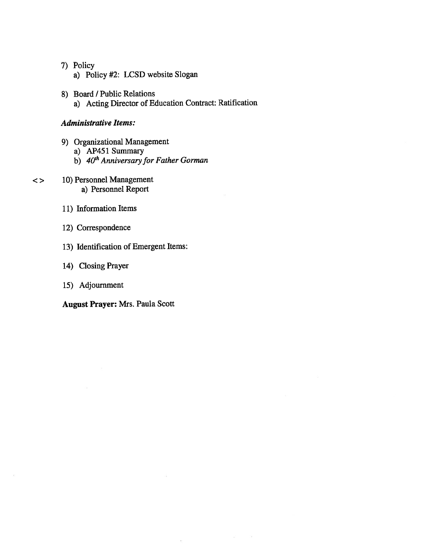## 7) Policy

- a) Policy #2: LCSD website Slogan
- 8) Board / Public Relations a) Acting Director of Education Contract: Ratification

 $\mathcal{S} = \mathcal{S}$ 

 $\bar{\psi}$ 

#### Administrative Items:

- 9) Organizational Management
	- a) AP451 Summary
	- b) 40<sup>th</sup> Anniversary for Father Gorman
- 10) Personnel Management  $\lt$ a) Personnel Report
	- 11) Information Items
	- 12) Correspondence
	- 13) Identification of Emergent Items:
	- 14) Closing Prayer
	- 15) Adjournment

August Prayer: Mrs. Paula Scott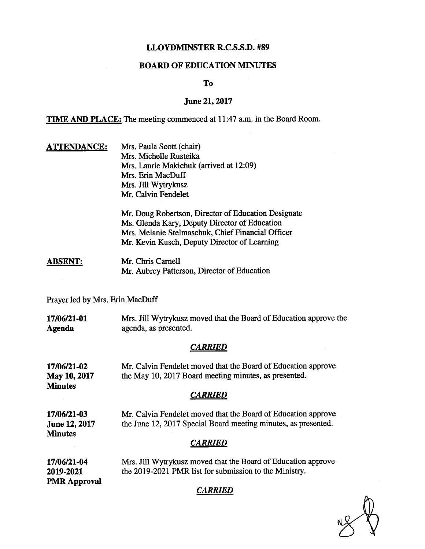## LLOYDMINSTER R.C.S.S.D. #89

#### BOARD OF EDUCATION MINUTES

To

#### June 21, 2017

TIME AND PLACE: The meeting commenced at 11:47 a.m. in the Board Room.

ATTENDANCE: Mrs. Paula Scott (chair) Mrs. Michelle Rusteika Mrs. Laurie Makichuk (arrived at 12:09) Mrs. Erin MacDuff Mrs. Jill Wytrykusz Mr. Calvin Fendelet

> Mr. Doug Robertson, Director of Education Designate Ms. Glenda Kary, Deputy Director of Education Mrs. Melanie Stelmaschuk, Chief Financial Officer Mr. Kevin Kusch, Deputy Director of Learning

#### ABSENT: Mr. Chris Carnell Mr. Aubrey Patterson, Director of Education

Prayer led by Mrs. Erin MacDuff

17/06/21-01 Mrs. Jill Wytrykusz moved that the Board of Education approve the Agenda agenda, as presented.

## **CARRIED**

17/06/21-02 Mr. Calvin Fendelet moved that the Board of Education approve May 10, 2017 the May 10, 2017 Board meeting minutes, as presented. **Minutes** 

## **CARRIED**

17/06/21-03 Mr. Calvin Fendelet moved that the Board of Education approve June 12, 2017 the June 12, 2017 Special Board meeting minutes, as presented. **Minutes** 

## **CARRIED**

17/06/21-04 Mrs. Jill Wytrykusz moved that the Board of Education approve 2019-2021 the 2019-2021 PMR list for submission to the Ministry. PMR Approval

#### CARRIED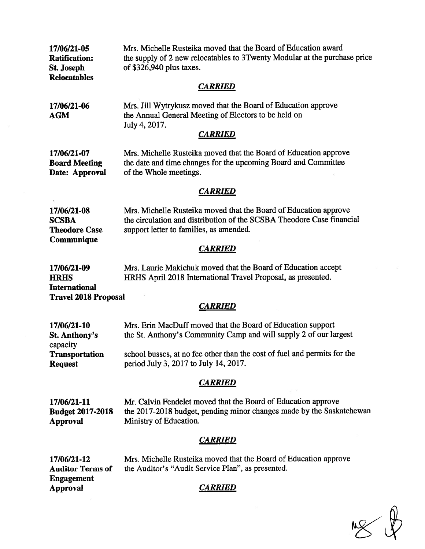| Mrs. Michelle Rusteika moved that the Board of Education award<br>the supply of 2 new relocatables to 3Twenty Modular at the purchase price<br>of \$326,940 plus taxes.<br><b>CARRIED</b> |
|-------------------------------------------------------------------------------------------------------------------------------------------------------------------------------------------|
| Mrs. Jill Wytrykusz moved that the Board of Education approve<br>the Annual General Meeting of Electors to be held on<br>July 4, 2017.<br><b>CARRIED</b>                                  |
| Mrs. Michelle Rusteika moved that the Board of Education approve<br>the date and time changes for the upcoming Board and Committee<br>of the Whole meetings.                              |
| <b>CARRIED</b>                                                                                                                                                                            |
| Mrs. Michelle Rusteika moved that the Board of Education approve<br>the circulation and distribution of the SCSBA Theodore Case financial<br>support letter to families, as amended.      |
| <b>CARRIED</b>                                                                                                                                                                            |
| Mrs. Laurie Makichuk moved that the Board of Education accept<br>HRHS April 2018 International Travel Proposal, as presented.                                                             |
| <b>Travel 2018 Proposal</b><br><b>CARRIED</b>                                                                                                                                             |
| Mrs. Erin MacDuff moved that the Board of Education support<br>the St. Anthony's Community Camp and will supply 2 of our largest                                                          |
| school busses, at no fee other than the cost of fuel and permits for the<br>period July 3, 2017 to July 14, 2017.                                                                         |
| <b>CARRIED</b>                                                                                                                                                                            |
| Mr. Calvin Fendelet moved that the Board of Education approve<br>the 2017-2018 budget, pending minor changes made by the Saskatchewan<br>Ministry of Education.                           |
| <b>CARRIED</b>                                                                                                                                                                            |
| Mrs. Michelle Rusteika moved that the Board of Education approve<br>the Auditor's "Audit Service Plan", as presented.                                                                     |
| <b>CARRIED</b>                                                                                                                                                                            |
|                                                                                                                                                                                           |

 $M_{\odot}$